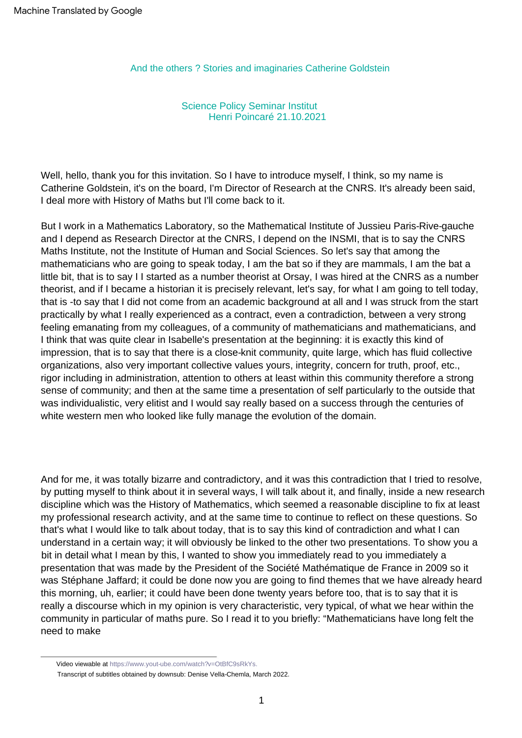And the others ? Stories and imaginaries Catherine Goldstein

Science Policy Seminar Institut Henri Poincaré 21.10.2021

Well, hello, thank you for this invitation. So I have to introduce myself, I think, so my name is Catherine Goldstein, it's on the board, I'm Director of Research at the CNRS. It's already been said, I deal more with History of Maths but I'll come back to it.

But I work in a Mathematics Laboratory, so the Mathematical Institute of Jussieu Paris-Rive-gauche and I depend as Research Director at the CNRS, I depend on the INSMI, that is to say the CNRS Maths Institute, not the Institute of Human and Social Sciences. So let's say that among the mathematicians who are going to speak today, I am the bat so if they are mammals, I am the bat a little bit, that is to say I I started as a number theorist at Orsay, I was hired at the CNRS as a number theorist, and if I became a historian it is precisely relevant, let's say, for what I am going to tell today, that is -to say that I did not come from an academic background at all and I was struck from the start practically by what I really experienced as a contract, even a contradiction, between a very strong feeling emanating from my colleagues, of a community of mathematicians and mathematicians, and I think that was quite clear in Isabelle's presentation at the beginning: it is exactly this kind of impression, that is to say that there is a close-knit community, quite large, which has fluid collective organizations, also very important collective values yours, integrity, concern for truth, proof, etc., rigor including in administration, attention to others at least within this community therefore a strong sense of community; and then at the same time a presentation of self particularly to the outside that was individualistic, very elitist and I would say really based on a success through the centuries of white western men who looked like fully manage the evolution of the domain.

And for me, it was totally bizarre and contradictory, and it was this contradiction that I tried to resolve, by putting myself to think about it in several ways, I will talk about it, and finally, inside a new research discipline which was the History of Mathematics, which seemed a reasonable discipline to fix at least my professional research activity, and at the same time to continue to reflect on these questions. So that's what I would like to talk about today, that is to say this kind of contradiction and what I can understand in a certain way; it will obviously be linked to the other two presentations. To show you a bit in detail what I mean by this, I wanted to show you immediately read to you immediately a presentation that was made by the President of the Société Mathématique de France in 2009 so it was Stéphane Jaffard; it could be done now you are going to find themes that we have already heard this morning, uh, earlier; it could have been done twenty years before too, that is to say that it is really a discourse which in my opinion is very characteristic, very typical, of what we hear within the community in particular of maths pure. So I read it to you briefly: "Mathematicians have long felt the need to make

Video viewable at [https://www.yout-ube.com/watch?v=OtBfC9sRkYs.](https://www.yout-ube.com/watch?v=OtBfC9sRkYs)

Transcript of subtitles obtained by downsub: Denise Vella-Chemla, March 2022.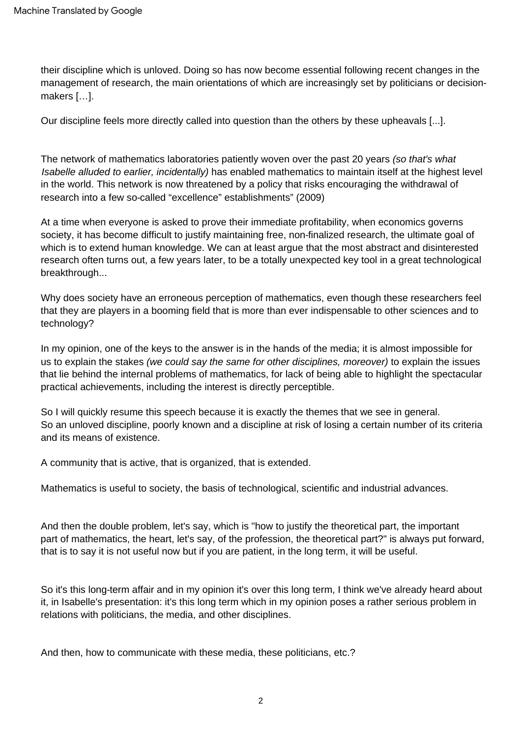their discipline which is unloved. Doing so has now become essential following recent changes in the management of research, the main orientations of which are increasingly set by politicians or decisionmakers […].

Our discipline feels more directly called into question than the others by these upheavals [...].

The network of mathematics laboratories patiently woven over the past 20 years (so that's what Isabelle alluded to earlier, incidentally) has enabled mathematics to maintain itself at the highest level in the world. This network is now threatened by a policy that risks encouraging the withdrawal of research into a few so-called "excellence" establishments" (2009)

At a time when everyone is asked to prove their immediate profitability, when economics governs society, it has become difficult to justify maintaining free, non-finalized research, the ultimate goal of which is to extend human knowledge. We can at least argue that the most abstract and disinterested research often turns out, a few years later, to be a totally unexpected key tool in a great technological breakthrough...

Why does society have an erroneous perception of mathematics, even though these researchers feel that they are players in a booming field that is more than ever indispensable to other sciences and to technology?

In my opinion, one of the keys to the answer is in the hands of the media; it is almost impossible for us to explain the stakes (we could say the same for other disciplines, moreover) to explain the issues that lie behind the internal problems of mathematics, for lack of being able to highlight the spectacular practical achievements, including the interest is directly perceptible.

So an unloved discipline, poorly known and a discipline at risk of losing a certain number of its criteria and its means of existence. So I will quickly resume this speech because it is exactly the themes that we see in general.

A community that is active, that is organized, that is extended.

Mathematics is useful to society, the basis of technological, scientific and industrial advances.

And then the double problem, let's say, which is "how to justify the theoretical part, the important part of mathematics, the heart, let's say, of the profession, the theoretical part?" is always put forward, that is to say it is not useful now but if you are patient, in the long term, it will be useful.

So it's this long-term affair and in my opinion it's over this long term, I think we've already heard about it, in Isabelle's presentation: it's this long term which in my opinion poses a rather serious problem in relations with politicians, the media, and other disciplines.

And then, how to communicate with these media, these politicians, etc.?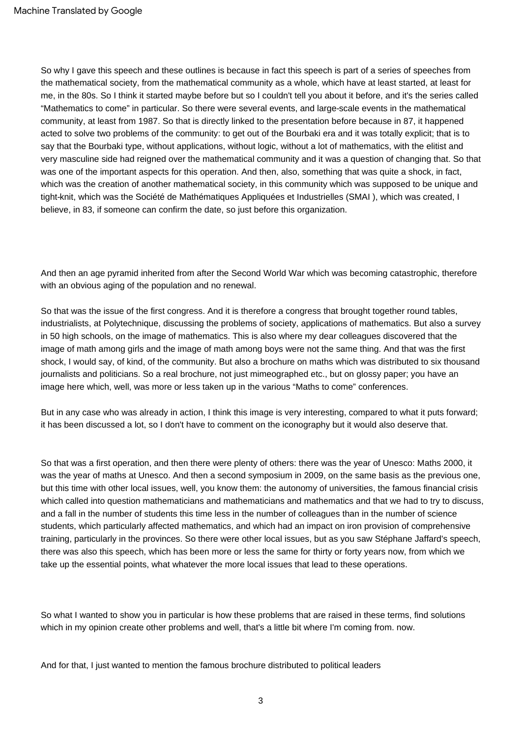So why I gave this speech and these outlines is because in fact this speech is part of a series of speeches from the mathematical society, from the mathematical community as a whole, which have at least started, at least for me, in the 80s. So I think it started maybe before but so I couldn't tell you about it before, and it's the series called "Mathematics to come" in particular. So there were several events, and large-scale events in the mathematical community, at least from 1987. So that is directly linked to the presentation before because in 87, it happened acted to solve two problems of the community: to get out of the Bourbaki era and it was totally explicit; that is to say that the Bourbaki type, without applications, without logic, without a lot of mathematics, with the elitist and very masculine side had reigned over the mathematical community and it was a question of changing that. So that was one of the important aspects for this operation. And then, also, something that was quite a shock, in fact, which was the creation of another mathematical society, in this community which was supposed to be unique and tight-knit, which was the Société de Mathématiques Appliquées et Industrielles (SMAI ), which was created, I believe, in 83, if someone can confirm the date, so just before this organization.

And then an age pyramid inherited from after the Second World War which was becoming catastrophic, therefore with an obvious aging of the population and no renewal.

So that was the issue of the first congress. And it is therefore a congress that brought together round tables, industrialists, at Polytechnique, discussing the problems of society, applications of mathematics. But also a survey in 50 high schools, on the image of mathematics. This is also where my dear colleagues discovered that the image of math among girls and the image of math among boys were not the same thing. And that was the first shock, I would say, of kind, of the community. But also a brochure on maths which was distributed to six thousand journalists and politicians. So a real brochure, not just mimeographed etc., but on glossy paper; you have an image here which, well, was more or less taken up in the various "Maths to come" conferences.

But in any case who was already in action, I think this image is very interesting, compared to what it puts forward; it has been discussed a lot, so I don't have to comment on the iconography but it would also deserve that.

So that was a first operation, and then there were plenty of others: there was the year of Unesco: Maths 2000, it was the year of maths at Unesco. And then a second symposium in 2009, on the same basis as the previous one, but this time with other local issues, well, you know them: the autonomy of universities, the famous financial crisis which called into question mathematicians and mathematicians and mathematics and that we had to try to discuss, and a fall in the number of students this time less in the number of colleagues than in the number of science students, which particularly affected mathematics, and which had an impact on iron provision of comprehensive training, particularly in the provinces. So there were other local issues, but as you saw Stéphane Jaffard's speech, there was also this speech, which has been more or less the same for thirty or forty years now, from which we take up the essential points, what whatever the more local issues that lead to these operations.

So what I wanted to show you in particular is how these problems that are raised in these terms, find solutions which in my opinion create other problems and well, that's a little bit where I'm coming from. now.

And for that, I just wanted to mention the famous brochure distributed to political leaders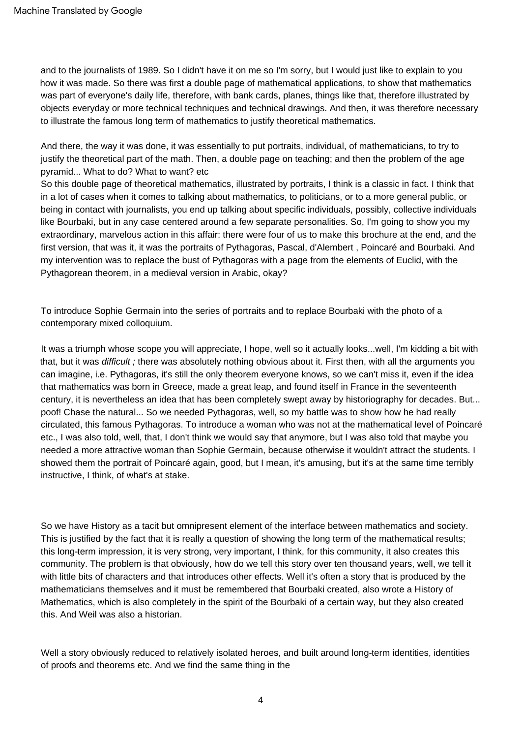and to the journalists of 1989. So I didn't have it on me so I'm sorry, but I would just like to explain to you how it was made. So there was first a double page of mathematical applications, to show that mathematics was part of everyone's daily life, therefore, with bank cards, planes, things like that, therefore illustrated by objects everyday or more technical techniques and technical drawings. And then, it was therefore necessary to illustrate the famous long term of mathematics to justify theoretical mathematics.

And there, the way it was done, it was essentially to put portraits, individual, of mathematicians, to try to justify the theoretical part of the math. Then, a double page on teaching; and then the problem of the age pyramid... What to do? What to want? etc

So this double page of theoretical mathematics, illustrated by portraits, I think is a classic in fact. I think that in a lot of cases when it comes to talking about mathematics, to politicians, or to a more general public, or being in contact with journalists, you end up talking about specific individuals, possibly, collective individuals like Bourbaki, but in any case centered around a few separate personalities. So, I'm going to show you my extraordinary, marvelous action in this affair: there were four of us to make this brochure at the end, and the first version, that was it, it was the portraits of Pythagoras, Pascal, d'Alembert , Poincaré and Bourbaki. And my intervention was to replace the bust of Pythagoras with a page from the elements of Euclid, with the Pythagorean theorem, in a medieval version in Arabic, okay?

To introduce Sophie Germain into the series of portraits and to replace Bourbaki with the photo of a contemporary mixed colloquium.

It was a triumph whose scope you will appreciate, I hope, well so it actually looks...well, I'm kidding a bit with that, but it was *difficult ;* there was absolutely nothing obvious about it. First then, with all the arguments you can imagine, i.e. Pythagoras, it's still the only theorem everyone knows, so we can't miss it, even if the idea that mathematics was born in Greece, made a great leap, and found itself in France in the seventeenth century, it is nevertheless an idea that has been completely swept away by historiography for decades. But... poof! Chase the natural... So we needed Pythagoras, well, so my battle was to show how he had really circulated, this famous Pythagoras. To introduce a woman who was not at the mathematical level of Poincaré etc., I was also told, well, that, I don't think we would say that anymore, but I was also told that maybe you needed a more attractive woman than Sophie Germain, because otherwise it wouldn't attract the students. I showed them the portrait of Poincaré again, good, but I mean, it's amusing, but it's at the same time terribly instructive, I think, of what's at stake.

So we have History as a tacit but omnipresent element of the interface between mathematics and society. This is justified by the fact that it is really a question of showing the long term of the mathematical results; this long-term impression, it is very strong, very important, I think, for this community, it also creates this community. The problem is that obviously, how do we tell this story over ten thousand years, well, we tell it with little bits of characters and that introduces other effects. Well it's often a story that is produced by the mathematicians themselves and it must be remembered that Bourbaki created, also wrote a History of Mathematics, which is also completely in the spirit of the Bourbaki of a certain way, but they also created this. And Weil was also a historian.

Well a story obviously reduced to relatively isolated heroes, and built around long-term identities, identities of proofs and theorems etc. And we find the same thing in the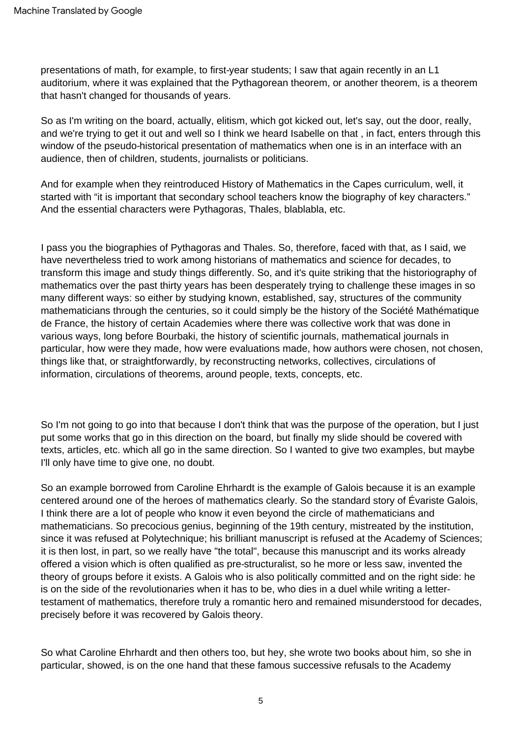presentations of math, for example, to first-year students; I saw that again recently in an L1 auditorium, where it was explained that the Pythagorean theorem, or another theorem, is a theorem that hasn't changed for thousands of years.

So as I'm writing on the board, actually, elitism, which got kicked out, let's say, out the door, really, and we're trying to get it out and well so I think we heard Isabelle on that , in fact, enters through this window of the pseudo-historical presentation of mathematics when one is in an interface with an audience, then of children, students, journalists or politicians.

And for example when they reintroduced History of Mathematics in the Capes curriculum, well, it started with "it is important that secondary school teachers know the biography of key characters." And the essential characters were Pythagoras, Thales, blablabla, etc.

I pass you the biographies of Pythagoras and Thales. So, therefore, faced with that, as I said, we have nevertheless tried to work among historians of mathematics and science for decades, to transform this image and study things differently. So, and it's quite striking that the historiography of mathematics over the past thirty years has been desperately trying to challenge these images in so many different ways: so either by studying known, established, say, structures of the community mathematicians through the centuries, so it could simply be the history of the Société Mathématique de France, the history of certain Academies where there was collective work that was done in various ways, long before Bourbaki, the history of scientific journals, mathematical journals in particular, how were they made, how were evaluations made, how authors were chosen, not chosen, things like that, or straightforwardly, by reconstructing networks, collectives, circulations of information, circulations of theorems, around people, texts, concepts, etc.

So I'm not going to go into that because I don't think that was the purpose of the operation, but I just put some works that go in this direction on the board, but finally my slide should be covered with texts, articles, etc. which all go in the same direction. So I wanted to give two examples, but maybe I'll only have time to give one, no doubt.

So an example borrowed from Caroline Ehrhardt is the example of Galois because it is an example centered around one of the heroes of mathematics clearly. So the standard story of Évariste Galois, I think there are a lot of people who know it even beyond the circle of mathematicians and mathematicians. So precocious genius, beginning of the 19th century, mistreated by the institution, since it was refused at Polytechnique; his brilliant manuscript is refused at the Academy of Sciences; it is then lost, in part, so we really have "the total", because this manuscript and its works already offered a vision which is often qualified as pre-structuralist, so he more or less saw, invented the theory of groups before it exists. A Galois who is also politically committed and on the right side: he is on the side of the revolutionaries when it has to be, who dies in a duel while writing a lettertestament of mathematics, therefore truly a romantic hero and remained misunderstood for decades, precisely before it was recovered by Galois theory.

So what Caroline Ehrhardt and then others too, but hey, she wrote two books about him, so she in particular, showed, is on the one hand that these famous successive refusals to the Academy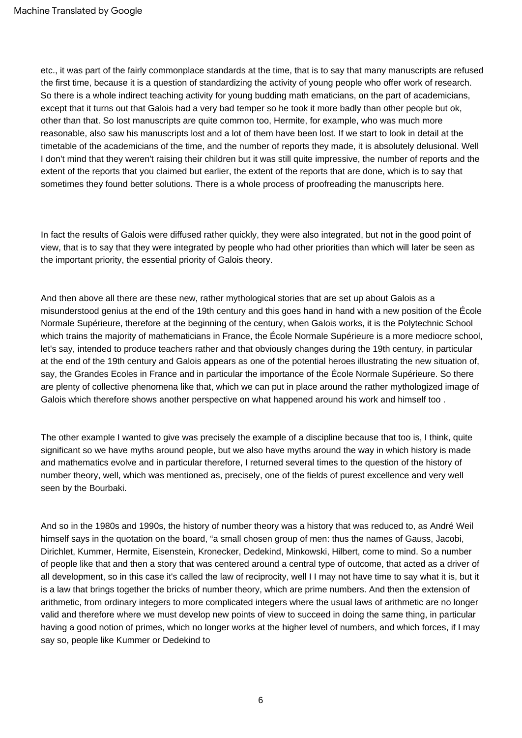etc., it was part of the fairly commonplace standards at the time, that is to say that many manuscripts are refused the first time, because it is a question of standardizing the activity of young people who offer work of research. So there is a whole indirect teaching activity for young budding math ematicians, on the part of academicians, except that it turns out that Galois had a very bad temper so he took it more badly than other people but ok, other than that. So lost manuscripts are quite common too, Hermite, for example, who was much more reasonable, also saw his manuscripts lost and a lot of them have been lost. If we start to look in detail at the timetable of the academicians of the time, and the number of reports they made, it is absolutely delusional. Well I don't mind that they weren't raising their children but it was still quite impressive, the number of reports and the extent of the reports that you claimed but earlier, the extent of the reports that are done, which is to say that sometimes they found better solutions. There is a whole process of proofreading the manuscripts here.

In fact the results of Galois were diffused rather quickly, they were also integrated, but not in the good point of view, that is to say that they were integrated by people who had other priorities than which will later be seen as the important priority, the essential priority of Galois theory.

And then above all there are these new, rather mythological stories that are set up about Galois as a misunderstood genius at the end of the 19th century and this goes hand in hand with a new position of the École Normale Supérieure, therefore at the beginning of the century, when Galois works, it is the Polytechnic School which trains the majority of mathematicians in France, the École Normale Supérieure is a more mediocre school, let's say, intended to produce teachers rather and that obviously changes during the 19th century, in particular at the end of the 19th century and Galois appears as one of the potential heroes illustrating the new situation of, say, the Grandes Ecoles in France and in particular the importance of the École Normale Supérieure. So there are plenty of collective phenomena like that, which we can put in place around the rather mythologized image of Galois which therefore shows another perspective on what happened around his work and himself too.

The other example I wanted to give was precisely the example of a discipline because that too is, I think, quite significant so we have myths around people, but we also have myths around the way in which history is made and mathematics evolve and in particular therefore, I returned several times to the question of the history of number theory, well, which was mentioned as, precisely, one of the fields of purest excellence and very well seen by the Bourbaki.

And so in the 1980s and 1990s, the history of number theory was a history that was reduced to, as André Weil himself says in the quotation on the board, "a small chosen group of men: thus the names of Gauss, Jacobi, Dirichlet, Kummer, Hermite, Eisenstein, Kronecker, Dedekind, Minkowski, Hilbert, come to mind. So a number of people like that and then a story that was centered around a central type of outcome, that acted as a driver of all development, so in this case it's called the law of reciprocity, well I I may not have time to say what it is, but it is a law that brings together the bricks of number theory, which are prime numbers. And then the extension of arithmetic, from ordinary integers to more complicated integers where the usual laws of arithmetic are no longer valid and therefore where we must develop new points of view to succeed in doing the same thing, in particular having a good notion of primes, which no longer works at the higher level of numbers, and which forces, if I may say so, people like Kummer or Dedekind to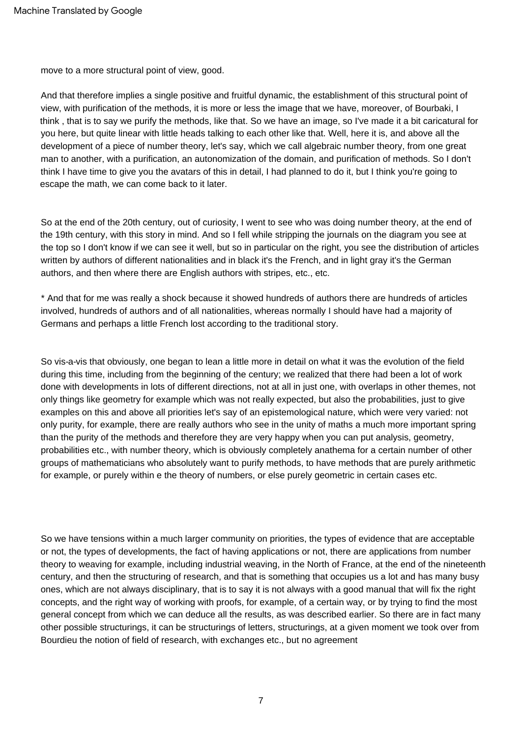move to a more structural point of view, good.

And that therefore implies a single positive and fruitful dynamic, the establishment of this structural point of view, with purification of the methods, it is more or less the image that we have, moreover, of Bourbaki, I think , that is to say we purify the methods, like that. So we have an image, so I've made it a bit caricatural for you here, but quite linear with little heads talking to each other like that. Well, here it is, and above all the development of a piece of number theory, let's say, which we call algebraic number theory, from one great man to another, with a purification, an autonomization of the domain, and purification of methods. So I don't think I have time to give you the avatars of this in detail, I had planned to do it, but I think you're going to escape the math, we can come back to it later.

So at the end of the 20th century, out of curiosity, I went to see who was doing number theory, at the end of the 19th century, with this story in mind. And so I fell while stripping the journals on the diagram you see at the top so I don't know if we can see it well, but so in particular on the right, you see the distribution of articles written by authors of different nationalities and in black it's the French, and in light gray it's the German authors, and then where there are English authors with stripes, etc., etc.

\* And that for me was really a shock because it showed hundreds of authors there are hundreds of articles involved, hundreds of authors and of all nationalities, whereas normally I should have had a majority of Germans and perhaps a little French lost according to the traditional story.

So vis-a-vis that obviously, one began to lean a little more in detail on what it was the evolution of the field during this time, including from the beginning of the century; we realized that there had been a lot of work done with developments in lots of different directions, not at all in just one, with overlaps in other themes, not only things like geometry for example which was not really expected, but also the probabilities, just to give examples on this and above all priorities let's say of an epistemological nature, which were very varied: not only purity, for example, there are really authors who see in the unity of maths a much more important spring than the purity of the methods and therefore they are very happy when you can put analysis, geometry, probabilities etc., with number theory, which is obviously completely anathema for a certain number of other groups of mathematicians who absolutely want to purify methods, to have methods that are purely arithmetic for example, or purely within e the theory of numbers, or else purely geometric in certain cases etc.

So we have tensions within a much larger community on priorities, the types of evidence that are acceptable or not, the types of developments, the fact of having applications or not, there are applications from number theory to weaving for example, including industrial weaving, in the North of France, at the end of the nineteenth century, and then the structuring of research, and that is something that occupies us a lot and has many busy ones, which are not always disciplinary, that is to say it is not always with a good manual that will fix the right concepts, and the right way of working with proofs, for example, of a certain way, or by trying to find the most general concept from which we can deduce all the results, as was described earlier. So there are in fact many other possible structurings, it can be structurings of letters, structurings, at a given moment we took over from Bourdieu the notion of field of research, with exchanges etc., but no agreement